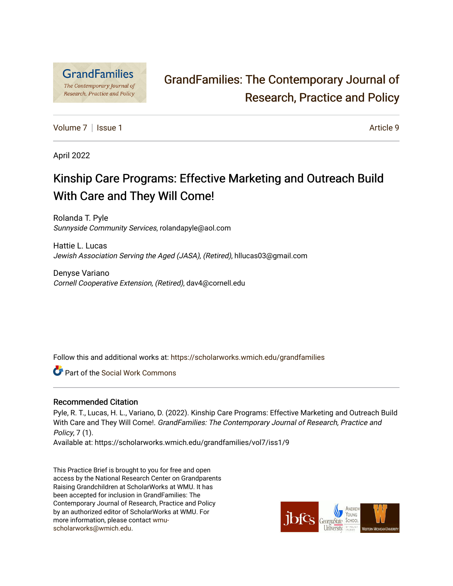

# [GrandFamilies: The Contemporary Journal of](https://scholarworks.wmich.edu/grandfamilies)  [Research, Practice and Policy](https://scholarworks.wmich.edu/grandfamilies)

[Volume 7](https://scholarworks.wmich.edu/grandfamilies/vol7) | [Issue 1](https://scholarworks.wmich.edu/grandfamilies/vol7/iss1) Article 9

April 2022

# Kinship Care Programs: Effective Marketing and Outreach Build With Care and They Will Come!

Rolanda T. Pyle Sunnyside Community Services, rolandapyle@aol.com

Hattie L. Lucas Jewish Association Serving the Aged (JASA), (Retired), hllucas03@gmail.com

Denyse Variano Cornell Cooperative Extension, (Retired), dav4@cornell.edu

Follow this and additional works at: [https://scholarworks.wmich.edu/grandfamilies](https://scholarworks.wmich.edu/grandfamilies?utm_source=scholarworks.wmich.edu%2Fgrandfamilies%2Fvol7%2Fiss1%2F9&utm_medium=PDF&utm_campaign=PDFCoverPages)

Part of the [Social Work Commons](http://network.bepress.com/hgg/discipline/713?utm_source=scholarworks.wmich.edu%2Fgrandfamilies%2Fvol7%2Fiss1%2F9&utm_medium=PDF&utm_campaign=PDFCoverPages)

#### Recommended Citation

Pyle, R. T., Lucas, H. L., Variano, D. (2022). Kinship Care Programs: Effective Marketing and Outreach Build With Care and They Will Come!. GrandFamilies: The Contemporary Journal of Research, Practice and Policy, 7 (1).

Available at: https://scholarworks.wmich.edu/grandfamilies/vol7/iss1/9

This Practice Brief is brought to you for free and open access by the National Research Center on Grandparents Raising Grandchildren at ScholarWorks at WMU. It has been accepted for inclusion in GrandFamilies: The Contemporary Journal of Research, Practice and Policy by an authorized editor of ScholarWorks at WMU. For more information, please contact [wmu](mailto:wmu-scholarworks@wmich.edu)[scholarworks@wmich.edu.](mailto:wmu-scholarworks@wmich.edu)

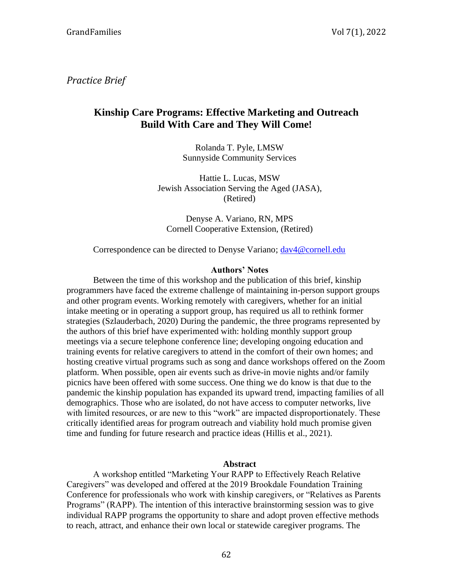*Practice Brief*

# **Kinship Care Programs: Effective Marketing and Outreach Build With Care and They Will Come!**

Rolanda T. Pyle, LMSW Sunnyside Community Services

Hattie L. Lucas, MSW Jewish Association Serving the Aged (JASA), (Retired)

Denyse A. Variano, RN, MPS Cornell Cooperative Extension, (Retired)

Correspondence can be directed to Denyse Variano; [dav4@cornell.edu](mailto:dav4@cornell.edu)

#### **Authors' Notes**

Between the time of this workshop and the publication of this brief, kinship programmers have faced the extreme challenge of maintaining in-person support groups and other program events. Working remotely with caregivers, whether for an initial intake meeting or in operating a support group, has required us all to rethink former strategies (Szlauderbach, 2020) During the pandemic, the three programs represented by the authors of this brief have experimented with: holding monthly support group meetings via a secure telephone conference line; developing ongoing education and training events for relative caregivers to attend in the comfort of their own homes; and hosting creative virtual programs such as song and dance workshops offered on the Zoom platform. When possible, open air events such as drive-in movie nights and/or family picnics have been offered with some success. One thing we do know is that due to the pandemic the kinship population has expanded its upward trend, impacting families of all demographics. Those who are isolated, do not have access to computer networks, live with limited resources, or are new to this "work" are impacted disproportionately. These critically identified areas for program outreach and viability hold much promise given time and funding for future research and practice ideas (Hillis et al., 2021).

#### **Abstract**

A workshop entitled "Marketing Your RAPP to Effectively Reach Relative Caregivers" was developed and offered at the 2019 Brookdale Foundation Training Conference for professionals who work with kinship caregivers, or "Relatives as Parents Programs" (RAPP). The intention of this interactive brainstorming session was to give individual RAPP programs the opportunity to share and adopt proven effective methods to reach, attract, and enhance their own local or statewide caregiver programs. The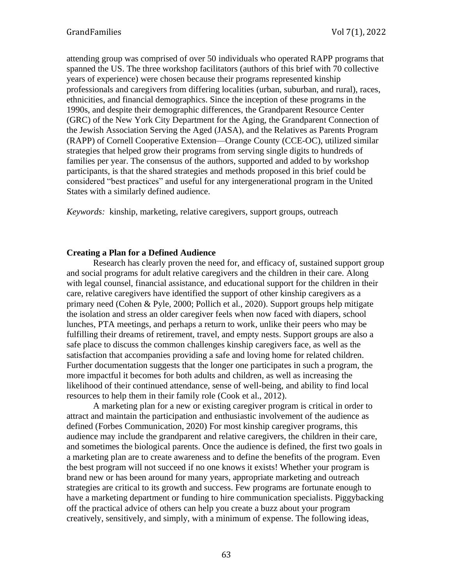attending group was comprised of over 50 individuals who operated RAPP programs that spanned the US. The three workshop facilitators (authors of this brief with 70 collective years of experience) were chosen because their programs represented kinship professionals and caregivers from differing localities (urban, suburban, and rural), races, ethnicities, and financial demographics. Since the inception of these programs in the 1990s, and despite their demographic differences, the Grandparent Resource Center (GRC) of the New York City Department for the Aging, the Grandparent Connection of the Jewish Association Serving the Aged (JASA), and the Relatives as Parents Program (RAPP) of Cornell Cooperative Extension—Orange County (CCE-OC), utilized similar strategies that helped grow their programs from serving single digits to hundreds of families per year. The consensus of the authors, supported and added to by workshop participants, is that the shared strategies and methods proposed in this brief could be considered "best practices" and useful for any intergenerational program in the United States with a similarly defined audience.

*Keywords:* kinship, marketing, relative caregivers, support groups, outreach

#### **Creating a Plan for a Defined Audience**

Research has clearly proven the need for, and efficacy of, sustained support group and social programs for adult relative caregivers and the children in their care. Along with legal counsel, financial assistance, and educational support for the children in their care, relative caregivers have identified the support of other kinship caregivers as a primary need (Cohen & Pyle, 2000; Pollich et al., 2020). Support groups help mitigate the isolation and stress an older caregiver feels when now faced with diapers, school lunches, PTA meetings, and perhaps a return to work, unlike their peers who may be fulfilling their dreams of retirement, travel, and empty nests. Support groups are also a safe place to discuss the common challenges kinship caregivers face, as well as the satisfaction that accompanies providing a safe and loving home for related children. Further documentation suggests that the longer one participates in such a program, the more impactful it becomes for both adults and children, as well as increasing the likelihood of their continued attendance, sense of well-being, and ability to find local resources to help them in their family role (Cook et al., 2012).

A marketing plan for a new or existing caregiver program is critical in order to attract and maintain the participation and enthusiastic involvement of the audience as defined (Forbes Communication, 2020) For most kinship caregiver programs, this audience may include the grandparent and relative caregivers, the children in their care, and sometimes the biological parents. Once the audience is defined, the first two goals in a marketing plan are to create awareness and to define the benefits of the program. Even the best program will not succeed if no one knows it exists! Whether your program is brand new or has been around for many years, appropriate marketing and outreach strategies are critical to its growth and success. Few programs are fortunate enough to have a marketing department or funding to hire communication specialists. Piggybacking off the practical advice of others can help you create a buzz about your program creatively, sensitively, and simply, with a minimum of expense. The following ideas,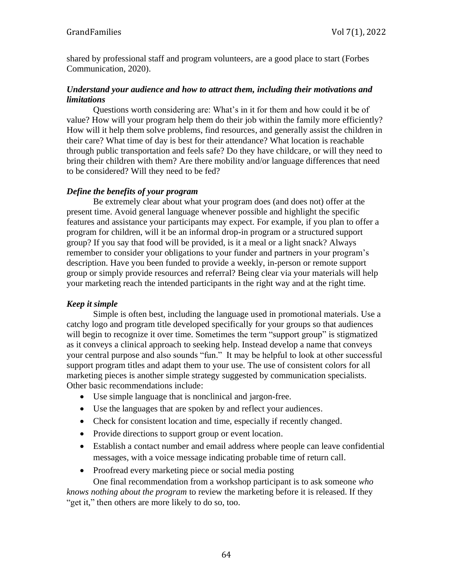shared by professional staff and program volunteers, are a good place to start (Forbes Communication, 2020).

## *Understand your audience and how to attract them, including their motivations and limitations*

Questions worth considering are: What's in it for them and how could it be of value? How will your program help them do their job within the family more efficiently? How will it help them solve problems, find resources, and generally assist the children in their care? What time of day is best for their attendance? What location is reachable through public transportation and feels safe? Do they have childcare, or will they need to bring their children with them? Are there mobility and/or language differences that need to be considered? Will they need to be fed?

# *Define the benefits of your program*

Be extremely clear about what your program does (and does not) offer at the present time. Avoid general language whenever possible and highlight the specific features and assistance your participants may expect. For example, if you plan to offer a program for children, will it be an informal drop-in program or a structured support group? If you say that food will be provided, is it a meal or a light snack? Always remember to consider your obligations to your funder and partners in your program's description. Have you been funded to provide a weekly, in-person or remote support group or simply provide resources and referral? Being clear via your materials will help your marketing reach the intended participants in the right way and at the right time.

# *Keep it simple*

Simple is often best, including the language used in promotional materials. Use a catchy logo and program title developed specifically for your groups so that audiences will begin to recognize it over time. Sometimes the term "support group" is stigmatized as it conveys a clinical approach to seeking help. Instead develop a name that conveys your central purpose and also sounds "fun." It may be helpful to look at other successful support program titles and adapt them to your use. The use of consistent colors for all marketing pieces is another simple strategy suggested by communication specialists. Other basic recommendations include:

- Use simple language that is nonclinical and jargon-free.
- Use the languages that are spoken by and reflect your audiences.
- Check for consistent location and time, especially if recently changed.
- Provide directions to support group or event location.
- Establish a contact number and email address where people can leave confidential messages, with a voice message indicating probable time of return call.
- Proofread every marketing piece or social media posting

One final recommendation from a workshop participant is to ask someone *who knows nothing about the program* to review the marketing before it is released. If they "get it," then others are more likely to do so, too.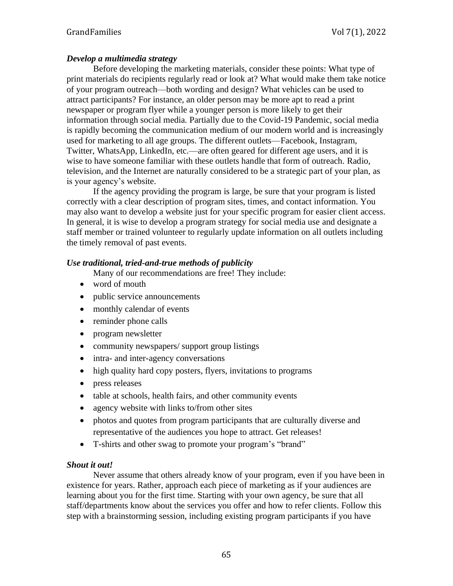# *Develop a multimedia strategy*

Before developing the marketing materials, consider these points: What type of print materials do recipients regularly read or look at? What would make them take notice of your program outreach—both wording and design? What vehicles can be used to attract participants? For instance, an older person may be more apt to read a print newspaper or program flyer while a younger person is more likely to get their information through social media. Partially due to the Covid-19 Pandemic, social media is rapidly becoming the communication medium of our modern world and is increasingly used for marketing to all age groups. The different outlets—Facebook, Instagram, Twitter, WhatsApp, LinkedIn, etc.—are often geared for different age users, and it is wise to have someone familiar with these outlets handle that form of outreach. Radio, television, and the Internet are naturally considered to be a strategic part of your plan, as is your agency's website.

If the agency providing the program is large, be sure that your program is listed correctly with a clear description of program sites, times, and contact information. You may also want to develop a website just for your specific program for easier client access. In general, it is wise to develop a program strategy for social media use and designate a staff member or trained volunteer to regularly update information on all outlets including the timely removal of past events.

#### *Use traditional, tried-and-true methods of publicity*

Many of our recommendations are free! They include:

- word of mouth
- public service announcements
- monthly calendar of events
- reminder phone calls
- program newsletter
- community newspapers/ support group listings
- intra- and inter-agency conversations
- high quality hard copy posters, flyers, invitations to programs
- press releases
- table at schools, health fairs, and other community events
- agency website with links to/from other sites
- photos and quotes from program participants that are culturally diverse and representative of the audiences you hope to attract. Get releases!
- T-shirts and other swag to promote your program's "brand"

# *Shout it out!*

Never assume that others already know of your program, even if you have been in existence for years. Rather, approach each piece of marketing as if your audiences are learning about you for the first time. Starting with your own agency, be sure that all staff/departments know about the services you offer and how to refer clients. Follow this step with a brainstorming session, including existing program participants if you have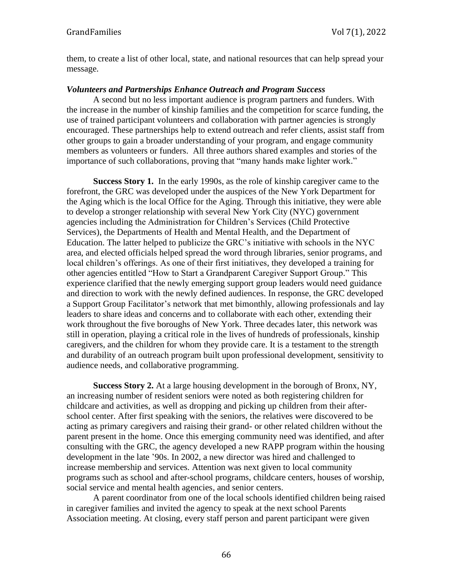them, to create a list of other local, state, and national resources that can help spread your message.

## *Volunteers and Partnerships Enhance Outreach and Program Success*

A second but no less important audience is program partners and funders. With the increase in the number of kinship families and the competition for scarce funding, the use of trained participant volunteers and collaboration with partner agencies is strongly encouraged. These partnerships help to extend outreach and refer clients, assist staff from other groups to gain a broader understanding of your program, and engage community members as volunteers or funders. All three authors shared examples and stories of the importance of such collaborations, proving that "many hands make lighter work."

**Success Story 1.** In the early 1990s, as the role of kinship caregiver came to the forefront, the GRC was developed under the auspices of the New York Department for the Aging which is the local Office for the Aging. Through this initiative, they were able to develop a stronger relationship with several New York City (NYC) government agencies including the Administration for Children's Services (Child Protective Services), the Departments of Health and Mental Health, and the Department of Education. The latter helped to publicize the GRC's initiative with schools in the NYC area, and elected officials helped spread the word through libraries, senior programs, and local children's offerings. As one of their first initiatives, they developed a training for other agencies entitled "How to Start a Grandparent Caregiver Support Group." This experience clarified that the newly emerging support group leaders would need guidance and direction to work with the newly defined audiences. In response, the GRC developed a Support Group Facilitator's network that met bimonthly, allowing professionals and lay leaders to share ideas and concerns and to collaborate with each other, extending their work throughout the five boroughs of New York. Three decades later, this network was still in operation, playing a critical role in the lives of hundreds of professionals, kinship caregivers, and the children for whom they provide care. It is a testament to the strength and durability of an outreach program built upon professional development, sensitivity to audience needs, and collaborative programming.

**Success Story 2.** At a large housing development in the borough of Bronx, NY, an increasing number of resident seniors were noted as both registering children for childcare and activities, as well as dropping and picking up children from their afterschool center. After first speaking with the seniors, the relatives were discovered to be acting as primary caregivers and raising their grand- or other related children without the parent present in the home. Once this emerging community need was identified, and after consulting with the GRC, the agency developed a new RAPP program within the housing development in the late '90s. In 2002, a new director was hired and challenged to increase membership and services. Attention was next given to local community programs such as school and after-school programs, childcare centers, houses of worship, social service and mental health agencies, and senior centers.

A parent coordinator from one of the local schools identified children being raised in caregiver families and invited the agency to speak at the next school Parents Association meeting. At closing, every staff person and parent participant were given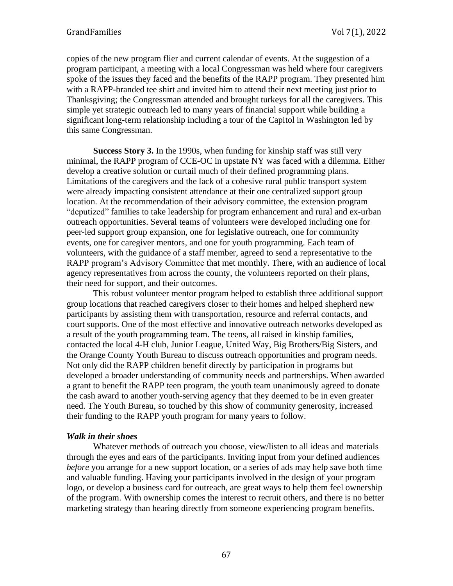copies of the new program flier and current calendar of events. At the suggestion of a program participant, a meeting with a local Congressman was held where four caregivers spoke of the issues they faced and the benefits of the RAPP program. They presented him with a RAPP-branded tee shirt and invited him to attend their next meeting just prior to Thanksgiving; the Congressman attended and brought turkeys for all the caregivers. This simple yet strategic outreach led to many years of financial support while building a significant long-term relationship including a tour of the Capitol in Washington led by this same Congressman.

**Success Story 3.** In the 1990s, when funding for kinship staff was still very minimal, the RAPP program of CCE-OC in upstate NY was faced with a dilemma. Either develop a creative solution or curtail much of their defined programming plans. Limitations of the caregivers and the lack of a cohesive rural public transport system were already impacting consistent attendance at their one centralized support group location. At the recommendation of their advisory committee, the extension program "deputized" families to take leadership for program enhancement and rural and ex-urban outreach opportunities. Several teams of volunteers were developed including one for peer-led support group expansion, one for legislative outreach, one for community events, one for caregiver mentors, and one for youth programming. Each team of volunteers, with the guidance of a staff member, agreed to send a representative to the RAPP program's Advisory Committee that met monthly. There, with an audience of local agency representatives from across the county, the volunteers reported on their plans, their need for support, and their outcomes.

This robust volunteer mentor program helped to establish three additional support group locations that reached caregivers closer to their homes and helped shepherd new participants by assisting them with transportation, resource and referral contacts, and court supports. One of the most effective and innovative outreach networks developed as a result of the youth programming team. The teens, all raised in kinship families, contacted the local 4-H club, Junior League, United Way, Big Brothers/Big Sisters, and the Orange County Youth Bureau to discuss outreach opportunities and program needs. Not only did the RAPP children benefit directly by participation in programs but developed a broader understanding of community needs and partnerships. When awarded a grant to benefit the RAPP teen program, the youth team unanimously agreed to donate the cash award to another youth-serving agency that they deemed to be in even greater need. The Youth Bureau, so touched by this show of community generosity, increased their funding to the RAPP youth program for many years to follow.

# *Walk in their shoes*

Whatever methods of outreach you choose, view/listen to all ideas and materials through the eyes and ears of the participants. Inviting input from your defined audiences *before* you arrange for a new support location, or a series of ads may help save both time and valuable funding. Having your participants involved in the design of your program logo, or develop a business card for outreach, are great ways to help them feel ownership of the program. With ownership comes the interest to recruit others, and there is no better marketing strategy than hearing directly from someone experiencing program benefits.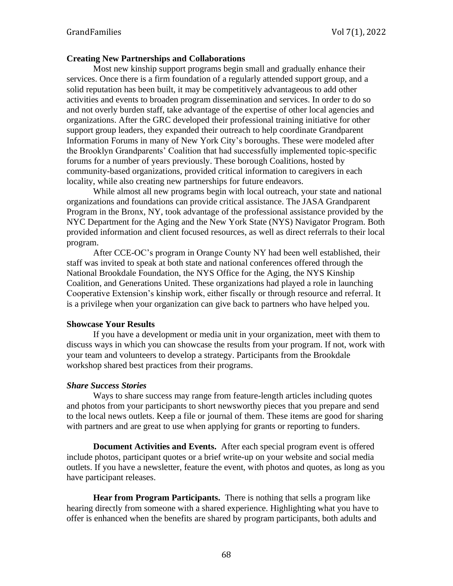#### **Creating New Partnerships and Collaborations**

Most new kinship support programs begin small and gradually enhance their services. Once there is a firm foundation of a regularly attended support group, and a solid reputation has been built, it may be competitively advantageous to add other activities and events to broaden program dissemination and services. In order to do so and not overly burden staff, take advantage of the expertise of other local agencies and organizations. After the GRC developed their professional training initiative for other support group leaders, they expanded their outreach to help coordinate Grandparent Information Forums in many of New York City's boroughs. These were modeled after the Brooklyn Grandparents' Coalition that had successfully implemented topic-specific forums for a number of years previously. These borough Coalitions, hosted by community-based organizations, provided critical information to caregivers in each locality, while also creating new partnerships for future endeavors.

While almost all new programs begin with local outreach, your state and national organizations and foundations can provide critical assistance. The JASA Grandparent Program in the Bronx, NY, took advantage of the professional assistance provided by the NYC Department for the Aging and the New York State (NYS) Navigator Program. Both provided information and client focused resources, as well as direct referrals to their local program.

After CCE-OC's program in Orange County NY had been well established, their staff was invited to speak at both state and national conferences offered through the National Brookdale Foundation, the NYS Office for the Aging, the NYS Kinship Coalition, and Generations United. These organizations had played a role in launching Cooperative Extension's kinship work, either fiscally or through resource and referral. It is a privilege when your organization can give back to partners who have helped you.

#### **Showcase Your Results**

If you have a development or media unit in your organization, meet with them to discuss ways in which you can showcase the results from your program. If not, work with your team and volunteers to develop a strategy. Participants from the Brookdale workshop shared best practices from their programs.

#### *Share Success Stories*

Ways to share success may range from feature-length articles including quotes and photos from your participants to short newsworthy pieces that you prepare and send to the local news outlets. Keep a file or journal of them. These items are good for sharing with partners and are great to use when applying for grants or reporting to funders.

**Document Activities and Events.** After each special program event is offered include photos, participant quotes or a brief write-up on your website and social media outlets. If you have a newsletter, feature the event, with photos and quotes, as long as you have participant releases.

**Hear from Program Participants.** There is nothing that sells a program like hearing directly from someone with a shared experience. Highlighting what you have to offer is enhanced when the benefits are shared by program participants, both adults and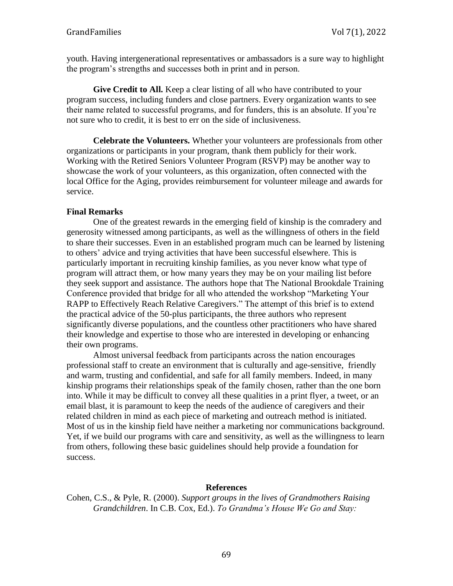youth. Having intergenerational representatives or ambassadors is a sure way to highlight the program's strengths and successes both in print and in person.

**Give Credit to All.** Keep a clear listing of all who have contributed to your program success, including funders and close partners. Every organization wants to see their name related to successful programs, and for funders, this is an absolute. If you're not sure who to credit, it is best to err on the side of inclusiveness.

**Celebrate the Volunteers.** Whether your volunteers are professionals from other organizations or participants in your program, thank them publicly for their work. Working with the Retired Seniors Volunteer Program (RSVP) may be another way to showcase the work of your volunteers, as this organization, often connected with the local Office for the Aging, provides reimbursement for volunteer mileage and awards for service.

# **Final Remarks**

One of the greatest rewards in the emerging field of kinship is the comradery and generosity witnessed among participants, as well as the willingness of others in the field to share their successes. Even in an established program much can be learned by listening to others' advice and trying activities that have been successful elsewhere. This is particularly important in recruiting kinship families, as you never know what type of program will attract them, or how many years they may be on your mailing list before they seek support and assistance. The authors hope that The National Brookdale Training Conference provided that bridge for all who attended the workshop "Marketing Your RAPP to Effectively Reach Relative Caregivers." The attempt of this brief is to extend the practical advice of the 50-plus participants, the three authors who represent significantly diverse populations, and the countless other practitioners who have shared their knowledge and expertise to those who are interested in developing or enhancing their own programs.

Almost universal feedback from participants across the nation encourages professional staff to create an environment that is culturally and age-sensitive, friendly and warm, trusting and confidential, and safe for all family members. Indeed, in many kinship programs their relationships speak of the family chosen, rather than the one born into. While it may be difficult to convey all these qualities in a print flyer, a tweet, or an email blast, it is paramount to keep the needs of the audience of caregivers and their related children in mind as each piece of marketing and outreach method is initiated. Most of us in the kinship field have neither a marketing nor communications background. Yet, if we build our programs with care and sensitivity, as well as the willingness to learn from others, following these basic guidelines should help provide a foundation for success.

#### **References**

Cohen, C.S., & Pyle, R. (2000). *Support groups in the lives of Grandmothers Raising Grandchildren*. In C.B. Cox, Ed.). *To Grandma's House We Go and Stay:*